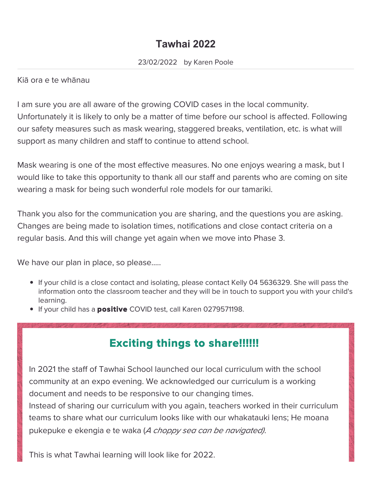# **Tawhai 2022**

#### Kiā ora e te whānau

I am sure you are all aware of the growing COVID cases in the local community. Unfortunately it is likely to only be a matter of time before our school is affected. Following our safety measures such as mask wearing, staggered breaks, ventilation, etc. is what will support as many children and staff to continue to attend school.

Mask wearing is one of the most effective measures. No one enjoys wearing a mask, but I would like to take this opportunity to thank all our staff and parents who are coming on site wearing a mask for being such wonderful role models for our tamariki.

Thank you also for the communication you are sharing, and the questions you are asking. Changes are being made to isolation times, notifications and close contact criteria on a regular basis. And this will change yet again when we move into Phase 3.

We have our plan in place, so please.....

- If your child is a close contact and isolating, please contact Kelly 04 5636329. She will pass the information onto the classroom teacher and they will be in touch to support you with your child's learning.
- **If your child has a positive COVID test, call Karen 0279571198.**

# Exciting things to share!!!!!!

In 2021 the staff of Tawhai School launched our local curriculum with the school community at an expo evening. We acknowledged our curriculum is a working document and needs to be responsive to our changing times.

Instead of sharing our curriculum with you again, teachers worked in their curriculum teams to share what our curriculum looks like with our whakatauki lens; He moana pukepuke e ekengia e te waka (A choppy sea can be navigated).

This is what Tawhai learning will look like for 2022.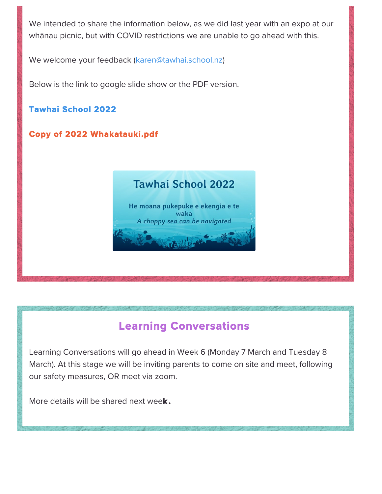We intended to share the information below, as we did last year with an expo at our whānau picnic, but with COVID restrictions we are unable to go ahead with this.

We welcome your feedback ([karen@tawhai.school.nz](mailto:karen@tawhai.school.nz))

Below is the link to google slide show or the PDF version.

#### [Tawhai School 2022](https://docs.google.com/presentation/d/1nV2xouSu3RlSu6234GBmCmeqeVFnRgnHU5K8I55drm8/edit?usp=sharing)

### [Copy of 2022 Whakatauki.pdf](https://assets.educa.co.nz/image/view/167b3855-bd1a-4f14-ad49-0ed9767bca20/787c488b-7bcc-49da-9727-866a05d4abaa/787c488b-7bcc-49da-9727-866a05d4abaa_67dc2a6.pdf)

### **Tawhai School 2022** He moana pukepuke e ekengia e te waka A choppy sea can be navigated

# Learning Conversations

Learning Conversations will go ahead in Week 6 (Monday 7 March and Tuesday 8 March). At this stage we will be inviting parents to come on site and meet, following our safety measures, OR meet via zoom.

More details will be shared next week.